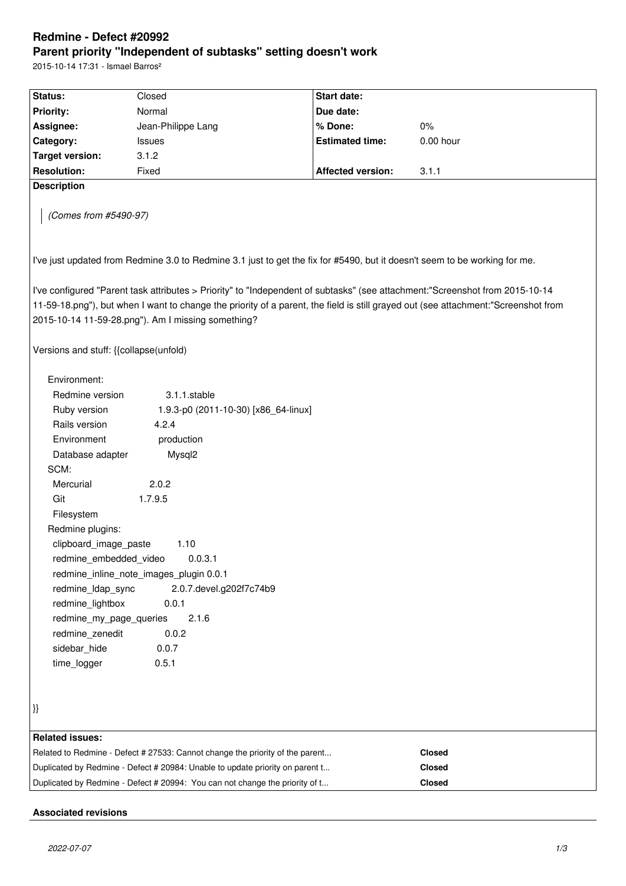# **Redmine - Defect #20992 Parent priority "Independent of subtasks" setting doesn't work**

2015-10-14 17:31 - Ismael Barros²

| Status:                                                                                                                    | Closed                                                                                                                             | <b>Start date:</b>       |             |  |  |  |  |
|----------------------------------------------------------------------------------------------------------------------------|------------------------------------------------------------------------------------------------------------------------------------|--------------------------|-------------|--|--|--|--|
| <b>Priority:</b>                                                                                                           | Normal                                                                                                                             | Due date:                |             |  |  |  |  |
| Assignee:                                                                                                                  | Jean-Philippe Lang                                                                                                                 | % Done:                  | $0\%$       |  |  |  |  |
| Category:                                                                                                                  | <b>Issues</b>                                                                                                                      | <b>Estimated time:</b>   | $0.00$ hour |  |  |  |  |
| <b>Target version:</b>                                                                                                     | 3.1.2                                                                                                                              |                          |             |  |  |  |  |
| <b>Resolution:</b>                                                                                                         | Fixed                                                                                                                              | <b>Affected version:</b> | 3.1.1       |  |  |  |  |
| <b>Description</b>                                                                                                         |                                                                                                                                    |                          |             |  |  |  |  |
| (Comes from #5490-97)                                                                                                      |                                                                                                                                    |                          |             |  |  |  |  |
| I've just updated from Redmine 3.0 to Redmine 3.1 just to get the fix for #5490, but it doesn't seem to be working for me. |                                                                                                                                    |                          |             |  |  |  |  |
|                                                                                                                            | I've configured "Parent task attributes > Priority" to "Independent of subtasks" (see attachment: "Screenshot from 2015-10-14      |                          |             |  |  |  |  |
|                                                                                                                            | 11-59-18.png"), but when I want to change the priority of a parent, the field is still grayed out (see attachment:"Screenshot from |                          |             |  |  |  |  |
|                                                                                                                            | 2015-10-14 11-59-28.png"). Am I missing something?                                                                                 |                          |             |  |  |  |  |
|                                                                                                                            |                                                                                                                                    |                          |             |  |  |  |  |
| Versions and stuff: {{collapse(unfold)                                                                                     |                                                                                                                                    |                          |             |  |  |  |  |
|                                                                                                                            |                                                                                                                                    |                          |             |  |  |  |  |
| Environment:                                                                                                               |                                                                                                                                    |                          |             |  |  |  |  |
| Redmine version                                                                                                            | 3.1.1.stable                                                                                                                       |                          |             |  |  |  |  |
| Ruby version                                                                                                               | 1.9.3-p0 (2011-10-30) [x86_64-linux]                                                                                               |                          |             |  |  |  |  |
| Rails version                                                                                                              | 4.2.4                                                                                                                              |                          |             |  |  |  |  |
| Environment                                                                                                                | production                                                                                                                         |                          |             |  |  |  |  |
| Database adapter                                                                                                           | Mysql2                                                                                                                             |                          |             |  |  |  |  |
| SCM:                                                                                                                       |                                                                                                                                    |                          |             |  |  |  |  |
| Mercurial                                                                                                                  | 2.0.2                                                                                                                              |                          |             |  |  |  |  |
| Git                                                                                                                        | 1.7.9.5                                                                                                                            |                          |             |  |  |  |  |
| Filesystem                                                                                                                 |                                                                                                                                    |                          |             |  |  |  |  |
| Redmine plugins:                                                                                                           |                                                                                                                                    |                          |             |  |  |  |  |
| clipboard_image_paste                                                                                                      | 1.10                                                                                                                               |                          |             |  |  |  |  |
| redmine embedded video                                                                                                     | 0.0.3.1                                                                                                                            |                          |             |  |  |  |  |
|                                                                                                                            | redmine_inline_note_images_plugin 0.0.1                                                                                            |                          |             |  |  |  |  |
| redmine_ldap_sync<br>2.0.7. devel.g202f7c74b9                                                                              |                                                                                                                                    |                          |             |  |  |  |  |
| redmine_lightbox                                                                                                           | 0.0.1                                                                                                                              |                          |             |  |  |  |  |
| redmine_my_page_queries<br>2.1.6                                                                                           |                                                                                                                                    |                          |             |  |  |  |  |
| redmine_zenedit                                                                                                            | 0.0.2                                                                                                                              |                          |             |  |  |  |  |
| sidebar_hide                                                                                                               | 0.0.7                                                                                                                              |                          |             |  |  |  |  |
| time_logger                                                                                                                | 0.5.1                                                                                                                              |                          |             |  |  |  |  |
|                                                                                                                            |                                                                                                                                    |                          |             |  |  |  |  |
|                                                                                                                            |                                                                                                                                    |                          |             |  |  |  |  |
| }}                                                                                                                         |                                                                                                                                    |                          |             |  |  |  |  |
|                                                                                                                            |                                                                                                                                    |                          |             |  |  |  |  |
| <b>Related issues:</b>                                                                                                     |                                                                                                                                    |                          |             |  |  |  |  |
| Related to Redmine - Defect # 27533: Cannot change the priority of the parent<br>Closed                                    |                                                                                                                                    |                          |             |  |  |  |  |
| Duplicated by Redmine - Defect # 20984: Unable to update priority on parent t<br><b>Closed</b>                             |                                                                                                                                    |                          |             |  |  |  |  |
|                                                                                                                            | Duplicated by Redmine - Defect # 20994: You can not change the priority of t                                                       |                          | Closed      |  |  |  |  |

# **Associated revisions**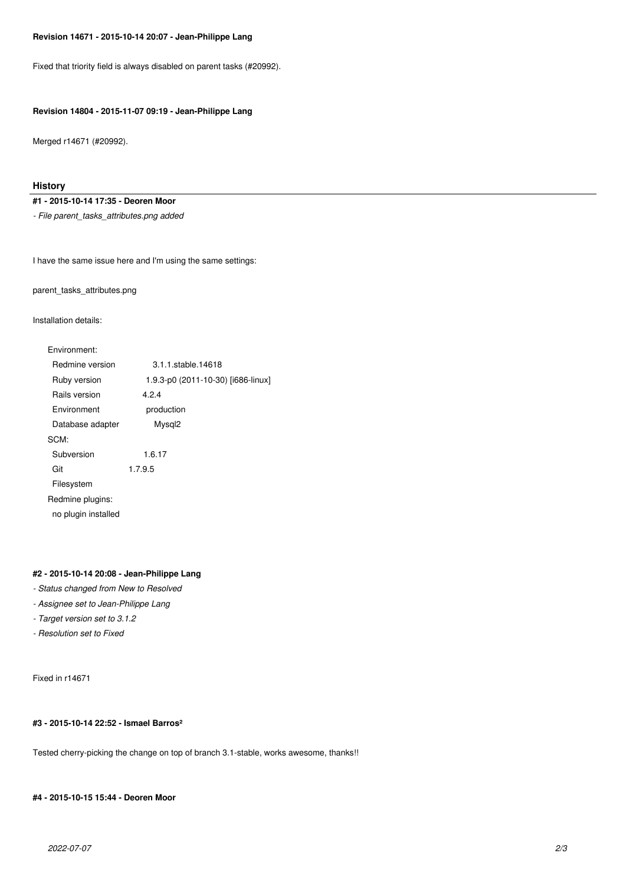# **Revision 14671 - 2015-10-14 20:07 - Jean-Philippe Lang**

Fixed that triority field is always disabled on parent tasks (#20992).

# **Revision 14804 - 2015-11-07 09:19 - Jean-Philippe Lang**

Merged r14671 (#20992).

# **History**

**#1 - 2015-10-14 17:35 - Deoren Moor**

*- File parent\_tasks\_attributes.png added*

I have the same issue here and I'm using the same settings:

parent\_tasks\_attributes.png

Installation details:

| Environment:        |                                    |
|---------------------|------------------------------------|
| Redmine version     | 3.1.1.stable.14618                 |
| Ruby version        | 1.9.3-p0 (2011-10-30) [i686-linux] |
| Rails version       | 4.2.4                              |
| Environment         | production                         |
| Database adapter    | Mysql <sub>2</sub>                 |
| SCM:                |                                    |
| Subversion          | 1.6.17                             |
| Git                 | 1.7.9.5                            |
| Filesystem          |                                    |
| Redmine plugins:    |                                    |
| no plugin installed |                                    |
|                     |                                    |

# **#2 - 2015-10-14 20:08 - Jean-Philippe Lang**

- *Status changed from New to Resolved*
- *Assignee set to Jean-Philippe Lang*
- *Target version set to 3.1.2*
- *Resolution set to Fixed*

Fixed in r14671

# **#3 - 2015-10-14 22:52 - Ismael Barros²**

Tested cherry-picking the change on top of branch 3.1-stable, works awesome, thanks!!

#### **#4 - 2015-10-15 15:44 - Deoren Moor**